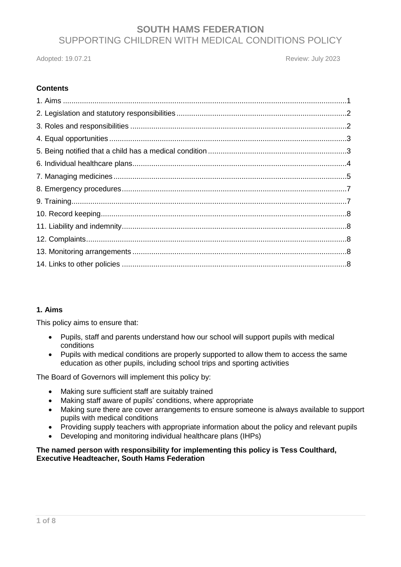Adopted: 19.07.21 **Review: July 2023** 

## **Contents**

## **1. Aims**

This policy aims to ensure that:

- Pupils, staff and parents understand how our school will support pupils with medical conditions
- Pupils with medical conditions are properly supported to allow them to access the same education as other pupils, including school trips and sporting activities

The Board of Governors will implement this policy by:

- Making sure sufficient staff are suitably trained
- Making staff aware of pupils' conditions, where appropriate
- Making sure there are cover arrangements to ensure someone is always available to support pupils with medical conditions
- Providing supply teachers with appropriate information about the policy and relevant pupils
- Developing and monitoring individual healthcare plans (IHPs)

### **The named person with responsibility for implementing this policy is Tess Coulthard, Executive Headteacher, South Hams Federation**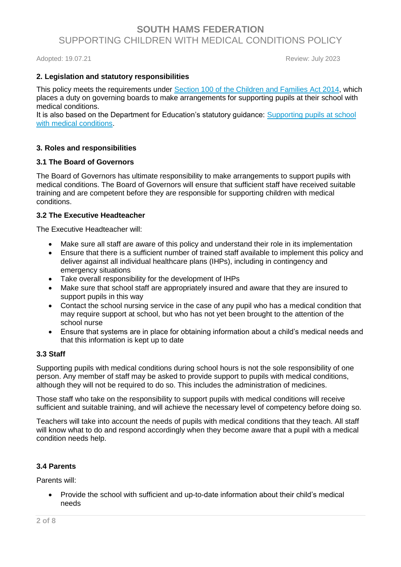Adopted: 19.07.21 **Review: July 2023** 

### **2. Legislation and statutory responsibilities**

This policy meets the requirements under [Section 100 of the Children and Families Act 2014,](http://www.legislation.gov.uk/ukpga/2014/6/part/5/crossheading/pupils-with-medical-conditions) which places a duty on governing boards to make arrangements for supporting pupils at their school with medical conditions.

It is also based on the Department for Education's statutory guidance: Supporting pupils at school [with medical conditions.](https://www.gov.uk/government/uploads/system/uploads/attachment_data/file/484418/supporting-pupils-at-school-with-medical-conditions.pdf)

### **3. Roles and responsibilities**

### **3.1 The Board of Governors**

The Board of Governors has ultimate responsibility to make arrangements to support pupils with medical conditions. The Board of Governors will ensure that sufficient staff have received suitable training and are competent before they are responsible for supporting children with medical conditions.

### **3.2 The Executive Headteacher**

The Executive Headteacher will:

- Make sure all staff are aware of this policy and understand their role in its implementation
- Ensure that there is a sufficient number of trained staff available to implement this policy and deliver against all individual healthcare plans (IHPs), including in contingency and emergency situations
- Take overall responsibility for the development of IHPs
- Make sure that school staff are appropriately insured and aware that they are insured to support pupils in this way
- Contact the school nursing service in the case of any pupil who has a medical condition that may require support at school, but who has not yet been brought to the attention of the school nurse
- Ensure that systems are in place for obtaining information about a child's medical needs and that this information is kept up to date

### **3.3 Staff**

Supporting pupils with medical conditions during school hours is not the sole responsibility of one person. Any member of staff may be asked to provide support to pupils with medical conditions, although they will not be required to do so. This includes the administration of medicines.

Those staff who take on the responsibility to support pupils with medical conditions will receive sufficient and suitable training, and will achieve the necessary level of competency before doing so.

Teachers will take into account the needs of pupils with medical conditions that they teach. All staff will know what to do and respond accordingly when they become aware that a pupil with a medical condition needs help.

### **3.4 Parents**

Parents will:

• Provide the school with sufficient and up-to-date information about their child's medical needs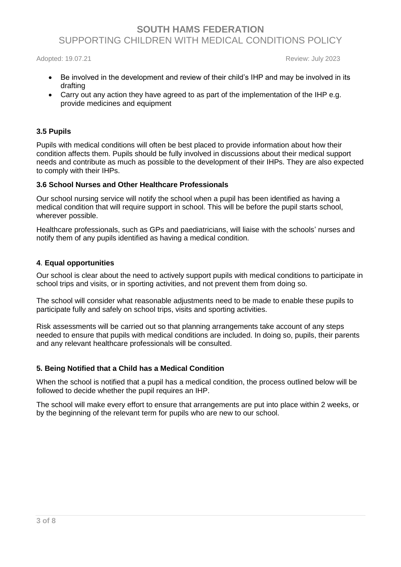Adopted: 19.07.21 **Review: July 2023** 

- Be involved in the development and review of their child's IHP and may be involved in its drafting
- Carry out any action they have agreed to as part of the implementation of the IHP e.g. provide medicines and equipment

### **3.5 Pupils**

Pupils with medical conditions will often be best placed to provide information about how their condition affects them. Pupils should be fully involved in discussions about their medical support needs and contribute as much as possible to the development of their IHPs. They are also expected to comply with their IHPs.

### **3.6 School Nurses and Other Healthcare Professionals**

Our school nursing service will notify the school when a pupil has been identified as having a medical condition that will require support in school. This will be before the pupil starts school, wherever possible.

Healthcare professionals, such as GPs and paediatricians, will liaise with the schools' nurses and notify them of any pupils identified as having a medical condition.

### **4**. **Equal opportunities**

Our school is clear about the need to actively support pupils with medical conditions to participate in school trips and visits, or in sporting activities, and not prevent them from doing so.

The school will consider what reasonable adjustments need to be made to enable these pupils to participate fully and safely on school trips, visits and sporting activities.

Risk assessments will be carried out so that planning arrangements take account of any steps needed to ensure that pupils with medical conditions are included. In doing so, pupils, their parents and any relevant healthcare professionals will be consulted.

### **5. Being Notified that a Child has a Medical Condition**

When the school is notified that a pupil has a medical condition, the process outlined below will be followed to decide whether the pupil requires an IHP.

The school will make every effort to ensure that arrangements are put into place within 2 weeks, or by the beginning of the relevant term for pupils who are new to our school.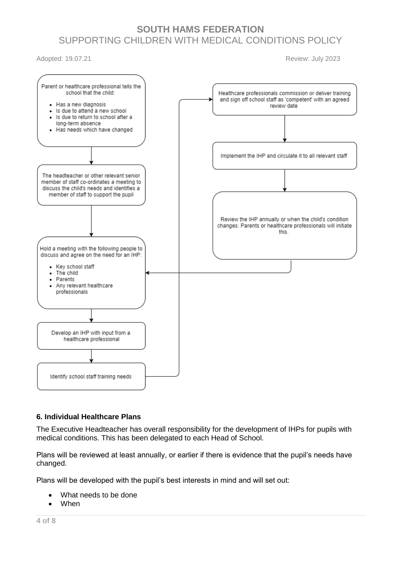Adopted: 19.07.21 **Review: July 2023** 



### **6. Individual Healthcare Plans**

The Executive Headteacher has overall responsibility for the development of IHPs for pupils with medical conditions. This has been delegated to each Head of School.

Plans will be reviewed at least annually, or earlier if there is evidence that the pupil's needs have changed.

Plans will be developed with the pupil's best interests in mind and will set out:

- What needs to be done
- **When**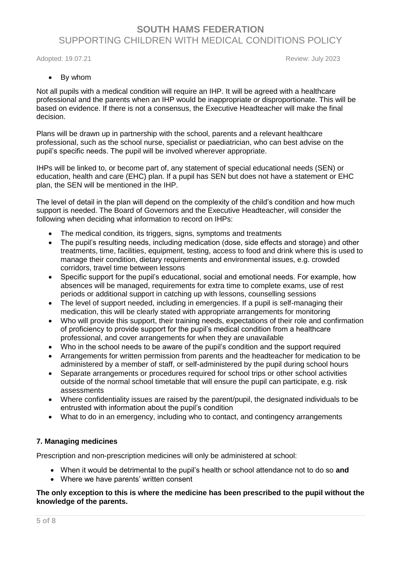Adopted: 19.07.21 **Review: July 2023** 

### • By whom

Not all pupils with a medical condition will require an IHP. It will be agreed with a healthcare professional and the parents when an IHP would be inappropriate or disproportionate. This will be based on evidence. If there is not a consensus, the Executive Headteacher will make the final decision.

Plans will be drawn up in partnership with the school, parents and a relevant healthcare professional, such as the school nurse, specialist or paediatrician, who can best advise on the pupil's specific needs. The pupil will be involved wherever appropriate.

IHPs will be linked to, or become part of, any statement of special educational needs (SEN) or education, health and care (EHC) plan. If a pupil has SEN but does not have a statement or EHC plan, the SEN will be mentioned in the IHP.

The level of detail in the plan will depend on the complexity of the child's condition and how much support is needed. The Board of Governors and the Executive Headteacher, will consider the following when deciding what information to record on IHPs:

- The medical condition, its triggers, signs, symptoms and treatments
- The pupil's resulting needs, including medication (dose, side effects and storage) and other treatments, time, facilities, equipment, testing, access to food and drink where this is used to manage their condition, dietary requirements and environmental issues, e.g. crowded corridors, travel time between lessons
- Specific support for the pupil's educational, social and emotional needs. For example, how absences will be managed, requirements for extra time to complete exams, use of rest periods or additional support in catching up with lessons, counselling sessions
- The level of support needed, including in emergencies. If a pupil is self-managing their medication, this will be clearly stated with appropriate arrangements for monitoring
- Who will provide this support, their training needs, expectations of their role and confirmation of proficiency to provide support for the pupil's medical condition from a healthcare professional, and cover arrangements for when they are unavailable
- Who in the school needs to be aware of the pupil's condition and the support required
- Arrangements for written permission from parents and the headteacher for medication to be administered by a member of staff, or self-administered by the pupil during school hours
- Separate arrangements or procedures required for school trips or other school activities outside of the normal school timetable that will ensure the pupil can participate, e.g. risk assessments
- Where confidentiality issues are raised by the parent/pupil, the designated individuals to be entrusted with information about the pupil's condition
- What to do in an emergency, including who to contact, and contingency arrangements

### **7. Managing medicines**

Prescription and non-prescription medicines will only be administered at school:

- When it would be detrimental to the pupil's health or school attendance not to do so **and**
- Where we have parents' written consent

#### **The only exception to this is where the medicine has been prescribed to the pupil without the knowledge of the parents.**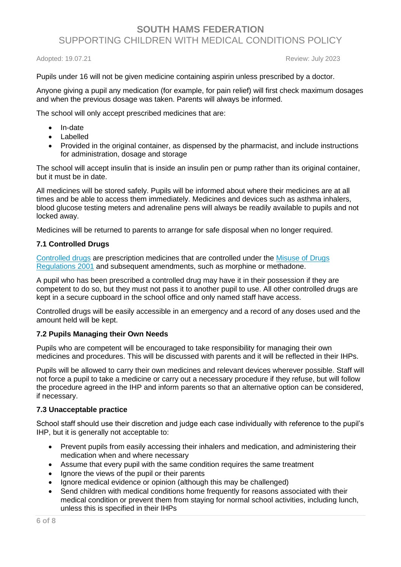Adopted: 19.07.21 Review: July 2023

Pupils under 16 will not be given medicine containing aspirin unless prescribed by a doctor.

Anyone giving a pupil any medication (for example, for pain relief) will first check maximum dosages and when the previous dosage was taken. Parents will always be informed.

The school will only accept prescribed medicines that are:

- In-date
- Labelled
- Provided in the original container, as dispensed by the pharmacist, and include instructions for administration, dosage and storage

The school will accept insulin that is inside an insulin pen or pump rather than its original container, but it must be in date.

All medicines will be stored safely. Pupils will be informed about where their medicines are at all times and be able to access them immediately. Medicines and devices such as asthma inhalers, blood glucose testing meters and adrenaline pens will always be readily available to pupils and not locked away.

Medicines will be returned to parents to arrange for safe disposal when no longer required.

### **7.1 Controlled Drugs**

[Controlled drugs](http://www.nhs.uk/chq/Pages/1391.aspx?CategoryID=73) are prescription medicines that are controlled under the [Misuse of Drugs](http://www.legislation.gov.uk/uksi/2001/3998/schedule/1/made)  [Regulations 2001](http://www.legislation.gov.uk/uksi/2001/3998/schedule/1/made) and subsequent amendments, such as morphine or methadone.

A pupil who has been prescribed a controlled drug may have it in their possession if they are competent to do so, but they must not pass it to another pupil to use. All other controlled drugs are kept in a secure cupboard in the school office and only named staff have access.

Controlled drugs will be easily accessible in an emergency and a record of any doses used and the amount held will be kept.

### **7.2 Pupils Managing their Own Needs**

Pupils who are competent will be encouraged to take responsibility for managing their own medicines and procedures. This will be discussed with parents and it will be reflected in their IHPs.

Pupils will be allowed to carry their own medicines and relevant devices wherever possible. Staff will not force a pupil to take a medicine or carry out a necessary procedure if they refuse, but will follow the procedure agreed in the IHP and inform parents so that an alternative option can be considered, if necessary.

### **7.3 Unacceptable practice**

School staff should use their discretion and judge each case individually with reference to the pupil's IHP, but it is generally not acceptable to:

- Prevent pupils from easily accessing their inhalers and medication, and administering their medication when and where necessary
- Assume that every pupil with the same condition requires the same treatment
- Ignore the views of the pupil or their parents
- Ignore medical evidence or opinion (although this may be challenged)
- Send children with medical conditions home frequently for reasons associated with their medical condition or prevent them from staying for normal school activities, including lunch, unless this is specified in their IHPs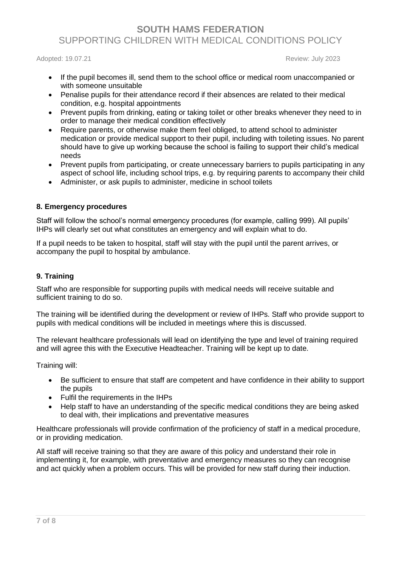Adopted: 19.07.21 **Review: July 2023** 

- If the pupil becomes ill, send them to the school office or medical room unaccompanied or with someone unsuitable
- Penalise pupils for their attendance record if their absences are related to their medical condition, e.g. hospital appointments
- Prevent pupils from drinking, eating or taking toilet or other breaks whenever they need to in order to manage their medical condition effectively
- Require parents, or otherwise make them feel obliged, to attend school to administer medication or provide medical support to their pupil, including with toileting issues. No parent should have to give up working because the school is failing to support their child's medical needs
- Prevent pupils from participating, or create unnecessary barriers to pupils participating in any aspect of school life, including school trips, e.g. by requiring parents to accompany their child
- Administer, or ask pupils to administer, medicine in school toilets

### **8. Emergency procedures**

Staff will follow the school's normal emergency procedures (for example, calling 999). All pupils' IHPs will clearly set out what constitutes an emergency and will explain what to do.

If a pupil needs to be taken to hospital, staff will stay with the pupil until the parent arrives, or accompany the pupil to hospital by ambulance.

### **9. Training**

Staff who are responsible for supporting pupils with medical needs will receive suitable and sufficient training to do so.

The training will be identified during the development or review of IHPs. Staff who provide support to pupils with medical conditions will be included in meetings where this is discussed.

The relevant healthcare professionals will lead on identifying the type and level of training required and will agree this with the Executive Headteacher. Training will be kept up to date.

Training will:

- Be sufficient to ensure that staff are competent and have confidence in their ability to support the pupils
- Fulfil the requirements in the IHPs
- Help staff to have an understanding of the specific medical conditions they are being asked to deal with, their implications and preventative measures

Healthcare professionals will provide confirmation of the proficiency of staff in a medical procedure, or in providing medication.

All staff will receive training so that they are aware of this policy and understand their role in implementing it, for example, with preventative and emergency measures so they can recognise and act quickly when a problem occurs. This will be provided for new staff during their induction.